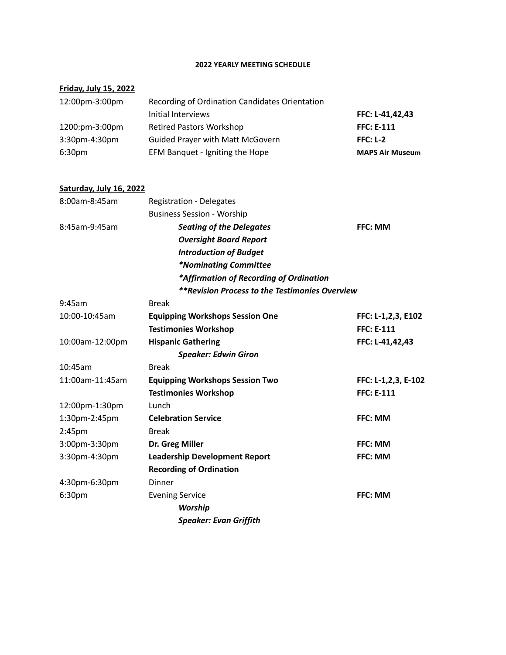### **2022 YEARLY MEETING SCHEDULE**

## **Friday, July 15, 2022**

| 12:00pm-3:00pm     | Recording of Ordination Candidates Orientation |                        |
|--------------------|------------------------------------------------|------------------------|
|                    | Initial Interviews                             | FFC: L-41,42,43        |
| 1200:pm-3:00pm     | <b>Retired Pastors Workshop</b>                | <b>FFC: E-111</b>      |
| $3:30$ pm-4:30pm   | <b>Guided Prayer with Matt McGovern</b>        | $FFC: L-2$             |
| 6:30 <sub>pm</sub> | EFM Banquet - Igniting the Hope                | <b>MAPS Air Museum</b> |

#### **Saturday, July 16, 2022**

| 8:00am-8:45am |              | <b>Registration - Delegates</b>                |                |
|---------------|--------------|------------------------------------------------|----------------|
|               |              | <b>Business Session - Worship</b>              |                |
| 8:45am-9:45am |              | <b>Seating of the Delegates</b>                | <b>FFC: MM</b> |
|               |              | <b>Oversight Board Report</b>                  |                |
|               |              | <b>Introduction of Budget</b>                  |                |
|               |              | <i>*Nominating Committee</i>                   |                |
|               |              | *Affirmation of Recording of Ordination        |                |
|               |              | **Revision Process to the Testimonies Overview |                |
| 9:45am        | <b>Break</b> |                                                |                |

| 10:00-10:45am      | <b>Equipping Workshops Session One</b> | FFC: L-1,2,3, E102  |
|--------------------|----------------------------------------|---------------------|
|                    | <b>Testimonies Workshop</b>            | <b>FFC: E-111</b>   |
| 10:00am-12:00pm    | <b>Hispanic Gathering</b>              | FFC: L-41,42,43     |
|                    | <b>Speaker: Edwin Giron</b>            |                     |
| 10:45am            | <b>Break</b>                           |                     |
| 11:00am-11:45am    | <b>Equipping Workshops Session Two</b> | FFC: L-1,2,3, E-102 |
|                    | <b>Testimonies Workshop</b>            | <b>FFC: E-111</b>   |
| 12:00pm-1:30pm     | Lunch                                  |                     |
| 1:30pm-2:45pm      | <b>Celebration Service</b>             | <b>FFC: MM</b>      |
| 2:45 <sub>pm</sub> | <b>Break</b>                           |                     |
| 3:00pm-3:30pm      | Dr. Greg Miller                        | FFC: MM             |
| 3:30pm-4:30pm      | <b>Leadership Development Report</b>   | <b>FFC: MM</b>      |
|                    | <b>Recording of Ordination</b>         |                     |
| 4:30pm-6:30pm      | <b>Dinner</b>                          |                     |
| 6:30 <sub>pm</sub> | <b>Evening Service</b>                 | <b>FFC: MM</b>      |
|                    | <b>Worship</b>                         |                     |
|                    | <b>Speaker: Evan Griffith</b>          |                     |